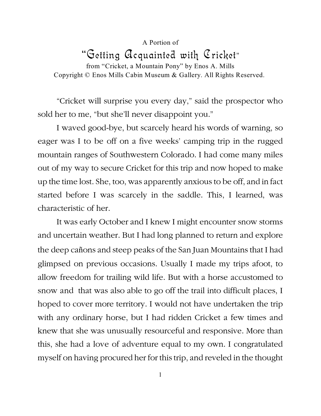## A Portion of "Getting Acquainted with Cricket"

from "Cricket, a Mountain Pony" by Enos A. Mills Copyright © Enos Mills Cabin Museum & Gallery. All Rights Reserved.

"Cricket will surprise you every day," said the prospector who sold her to me, "but she'll never disappoint you."

I waved good-bye, but scarcely heard his words of warning, so eager was I to be off on a five weeks' camping trip in the rugged mountain ranges of Southwestern Colorado. I had come many miles out of my way to secure Cricket for this trip and now hoped to make up the time lost. She, too, was apparently anxious to be off, and in fact started before I was scarcely in the saddle. This, I learned, was characteristic of her.

It was early October and I knew I might encounter snow storms and uncertain weather. But I had long planned to return and explore the deep cañons and steep peaks of the San Juan Mountains that I had glimpsed on previous occasions. Usually I made my trips afoot, to allow freedom for trailing wild life. But with a horse accustomed to snow and that was also able to go off the trail into difficult places, I hoped to cover more territory. I would not have undertaken the trip with any ordinary horse, but I had ridden Cricket a few times and knew that she was unusually resourceful and responsive. More than this, she had a love of adventure equal to my own. I congratulated myself on having procured her for this trip, and reveled in the thought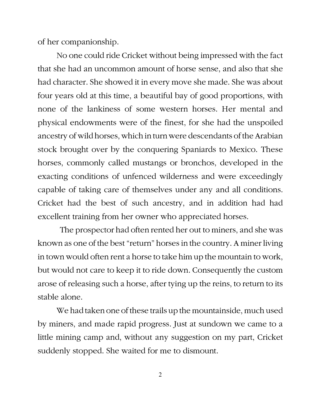of her companionship.

No one could ride Cricket without being impressed with the fact that she had an uncommon amount of horse sense, and also that she had character. She showed it in every move she made. She was about four years old at this time, a beautiful bay of good proportions, with none of the lankiness of some western horses. Her mental and physical endowments were of the finest, for she had the unspoiled ancestry of wild horses, which in turn were descendants of the Arabian stock brought over by the conquering Spaniards to Mexico. These horses, commonly called mustangs or bronchos, developed in the exacting conditions of unfenced wilderness and were exceedingly capable of taking care of themselves under any and all conditions. Cricket had the best of such ancestry, and in addition had had excellent training from her owner who appreciated horses.

The prospector had often rented her out to miners, and she was known as one of the best "return" horses in the country. A miner living in town would often rent a horse to take him up the mountain to work, but would not care to keep it to ride down. Consequently the custom arose of releasing such a horse, after tying up the reins, to return to its stable alone.

We had taken one of these trails up the mountainside, much used by miners, and made rapid progress. Just at sundown we came to a little mining camp and, without any suggestion on my part, Cricket suddenly stopped. She waited for me to dismount.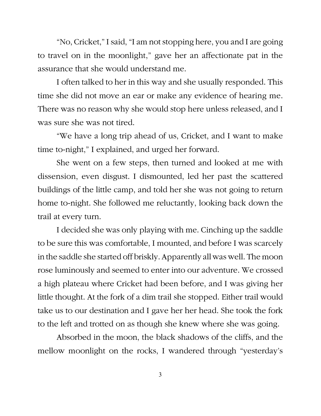"No, Cricket," I said, "I am not stopping here, you and I are going to travel on in the moonlight," gave her an affectionate pat in the assurance that she would understand me.

I often talked to her in this way and she usually responded. This time she did not move an ear or make any evidence of hearing me. There was no reason why she would stop here unless released, and I was sure she was not tired.

"We have a long trip ahead of us, Cricket, and I want to make time to-night," I explained, and urged her forward.

She went on a few steps, then turned and looked at me with dissension, even disgust. I dismounted, led her past the scattered buildings of the little camp, and told her she was not going to return home to-night. She followed me reluctantly, looking back down the trail at every turn.

I decided she was only playing with me. Cinching up the saddle to be sure this was comfortable, I mounted, and before I was scarcely in the saddle she started off briskly. Apparently all was well. The moon rose luminously and seemed to enter into our adventure. We crossed a high plateau where Cricket had been before, and I was giving her little thought. At the fork of a dim trail she stopped. Either trail would take us to our destination and I gave her her head. She took the fork to the left and trotted on as though she knew where she was going.

Absorbed in the moon, the black shadows of the cliffs, and the mellow moonlight on the rocks, I wandered through "yesterday's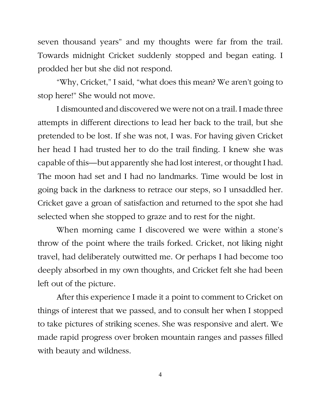seven thousand years" and my thoughts were far from the trail. Towards midnight Cricket suddenly stopped and began eating. I prodded her but she did not respond.

"Why, Cricket," I said, "what does this mean? We aren't going to stop here!" She would not move.

I dismounted and discovered we were not on a trail. I made three attempts in different directions to lead her back to the trail, but she pretended to be lost. If she was not, I was. For having given Cricket her head I had trusted her to do the trail finding. I knew she was capable of this—but apparently she had lost interest, or thought I had. The moon had set and I had no landmarks. Time would be lost in going back in the darkness to retrace our steps, so I unsaddled her. Cricket gave a groan of satisfaction and returned to the spot she had selected when she stopped to graze and to rest for the night.

When morning came I discovered we were within a stone's throw of the point where the trails forked. Cricket, not liking night travel, had deliberately outwitted me. Or perhaps I had become too deeply absorbed in my own thoughts, and Cricket felt she had been left out of the picture.

After this experience I made it a point to comment to Cricket on things of interest that we passed, and to consult her when I stopped to take pictures of striking scenes. She was responsive and alert. We made rapid progress over broken mountain ranges and passes filled with beauty and wildness.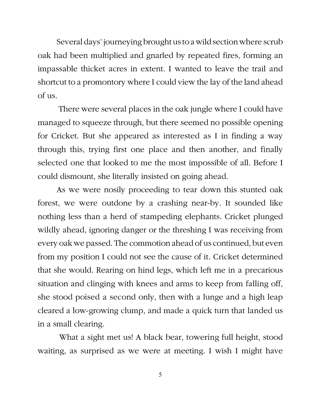Several days' journeying brought us to a wild section where scrub oak had been multiplied and gnarled by repeated fires, forming an impassable thicket acres in extent. I wanted to leave the trail and shortcut to a promontory where I could view the lay of the land ahead of us.

There were several places in the oak jungle where I could have managed to squeeze through, but there seemed no possible opening for Cricket. But she appeared as interested as I in finding a way through this, trying first one place and then another, and finally selected one that looked to me the most impossible of all. Before I could dismount, she literally insisted on going ahead.

As we were nosily proceeding to tear down this stunted oak forest, we were outdone by a crashing near-by. It sounded like nothing less than a herd of stampeding elephants. Cricket plunged wildly ahead, ignoring danger or the threshing I was receiving from every oak we passed. The commotion ahead of us continued, but even from my position I could not see the cause of it. Cricket determined that she would. Rearing on hind legs, which left me in a precarious situation and clinging with knees and arms to keep from falling off, she stood poised a second only, then with a lunge and a high leap cleared a low-growing clump, and made a quick turn that landed us in a small clearing.

What a sight met us! A black bear, towering full height, stood waiting, as surprised as we were at meeting. I wish I might have

5